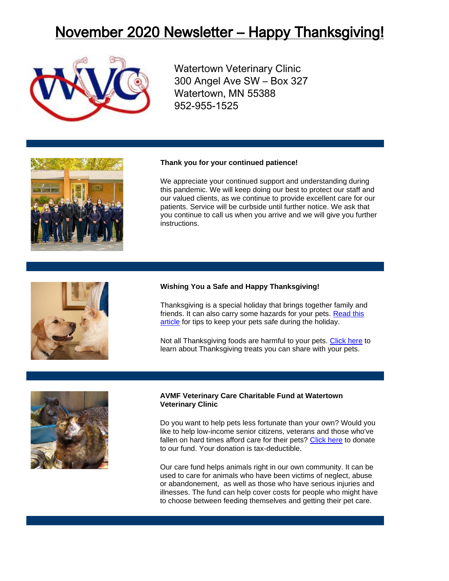# November 2020 Newsletter – Happy Thanksgiving!



Watertown Veterinary Clinic 300 Angel Ave SW – Box 327 Watertown, MN 55388 952-955-1525

#### **Thank you for your continued patience!**

We appreciate your continued support and understanding during this pandemic. We will keep doing our best to protect our staff and our valued clients, as we continue to provide excellent care for our patients. Service will be curbside until further notice. We ask that you continue to call us when you arrive and we will give you further instructions.

### **Wishing You a Safe and Happy Thanksgiving!**

Thanksgiving is a special holiday that brings together family and friends. It can also carry some hazards for your pets. [Read this](https://www.avma.org/resources/pet-owners/petcare/thanksgiving-pet-safety)  [article](https://www.avma.org/resources/pet-owners/petcare/thanksgiving-pet-safety) for tips to keep your pets safe during the holiday.

Not all Thanksgiving foods are harmful to your pets. [Click here](https://www.pethealthnetwork.com/dog-health/dog-diet-nutrition/6-thanksgiving-treats-you-can-share-your-pets) to learn about Thanksgiving treats you can share with your pets.



#### **AVMF Veterinary Care Charitable Fund at Watertown Veterinary Clinic**

Do you want to help pets less fortunate than your own? Would you like to help low-income senior citizens, veterans and those who've fallen on hard times afford care for their pets? [Click here](https://www.vccfund.org/forms/donation-form/?ref=2575&company=Watertown%20Veterinary%20Clinic) to donate to our fund. Your donation is tax-deductible.

Our care fund helps animals right in our own community. It can be used to care for animals who have been victims of neglect, abuse or abandonement, as well as those who have serious injuries and illnesses. The fund can help cover costs for people who might have to choose between feeding themselves and getting their pet care.